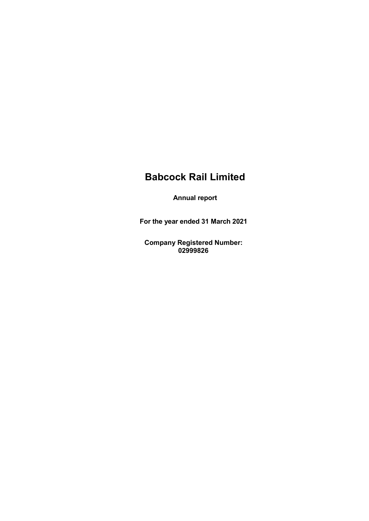Annual report

For the year ended 31 March 2021

Company Registered Number: 02999826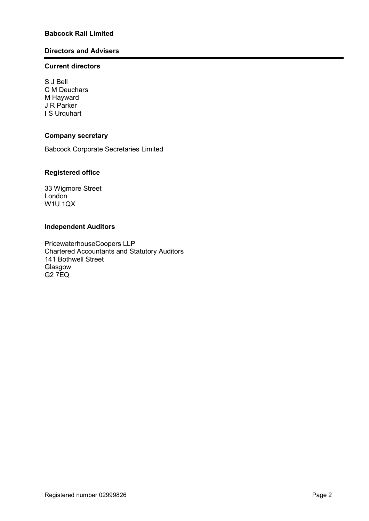# Directors and Advisers

# Current directors

S J Bell C M Deuchars M Hayward J R Parker I S Urquhart

# Company secretary

Babcock Corporate Secretaries Limited

# Registered office

33 Wigmore Street London W1U 1QX

# Independent Auditors

PricewaterhouseCoopers LLP Chartered Accountants and Statutory Auditors 141 Bothwell Street Glasgow G2 7EQ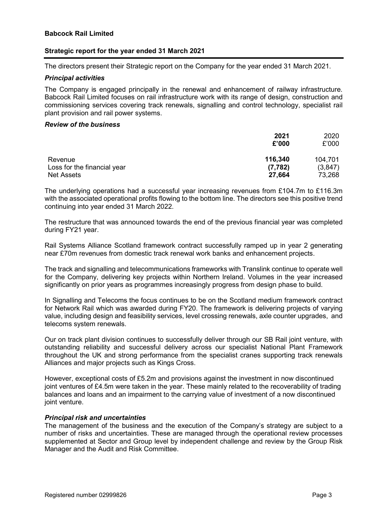# Strategic report for the year ended 31 March 2021

The directors present their Strategic report on the Company for the year ended 31 March 2021.

#### Principal activities

The Company is engaged principally in the renewal and enhancement of railway infrastructure. Babcock Rail Limited focuses on rail infrastructure work with its range of design, construction and commissioning services covering track renewals, signalling and control technology, specialist rail plant provision and rail power systems.

#### Review of the business

|                                                  | 2021<br>£'000      | 2020<br>£'000     |
|--------------------------------------------------|--------------------|-------------------|
| Revenue                                          | 116,340            | 104,701           |
| Loss for the financial year<br><b>Net Assets</b> | (7, 782)<br>27,664 | (3,847)<br>73,268 |

The underlying operations had a successful year increasing revenues from £104.7m to £116.3m with the associated operational profits flowing to the bottom line. The directors see this positive trend continuing into year ended 31 March 2022.

The restructure that was announced towards the end of the previous financial year was completed during FY21 year.

Rail Systems Alliance Scotland framework contract successfully ramped up in year 2 generating near £70m revenues from domestic track renewal work banks and enhancement projects.

The track and signalling and telecommunications frameworks with Translink continue to operate well for the Company, delivering key projects within Northern Ireland. Volumes in the year increased significantly on prior years as programmes increasingly progress from design phase to build.

In Signalling and Telecoms the focus continues to be on the Scotland medium framework contract for Network Rail which was awarded during FY20. The framework is delivering projects of varying value, including design and feasibility services, level crossing renewals, axle counter upgrades, and telecoms system renewals.

Our on track plant division continues to successfully deliver through our SB Rail joint venture, with outstanding reliability and successful delivery across our specialist National Plant Framework throughout the UK and strong performance from the specialist cranes supporting track renewals Alliances and major projects such as Kings Cross.

However, exceptional costs of £5.2m and provisions against the investment in now discontinued joint ventures of £4.5m were taken in the year. These mainly related to the recoverability of trading balances and loans and an impairment to the carrying value of investment of a now discontinued joint venture.

# Principal risk and uncertainties

The management of the business and the execution of the Company's strategy are subject to a number of risks and uncertainties. These are managed through the operational review processes supplemented at Sector and Group level by independent challenge and review by the Group Risk Manager and the Audit and Risk Committee.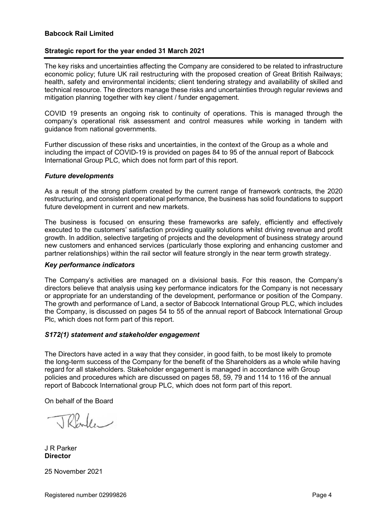# Strategic report for the year ended 31 March 2021

The key risks and uncertainties affecting the Company are considered to be related to infrastructure economic policy; future UK rail restructuring with the proposed creation of Great British Railways; health, safety and environmental incidents; client tendering strategy and availability of skilled and technical resource. The directors manage these risks and uncertainties through regular reviews and mitigation planning together with key client / funder engagement.

COVID 19 presents an ongoing risk to continuity of operations. This is managed through the company's operational risk assessment and control measures while working in tandem with guidance from national governments.

Further discussion of these risks and uncertainties, in the context of the Group as a whole and including the impact of COVID-19 is provided on pages 84 to 95 of the annual report of Babcock International Group PLC, which does not form part of this report.

#### Future developments

As a result of the strong platform created by the current range of framework contracts, the 2020 restructuring, and consistent operational performance, the business has solid foundations to support future development in current and new markets.

The business is focused on ensuring these frameworks are safely, efficiently and effectively executed to the customers' satisfaction providing quality solutions whilst driving revenue and profit growth. In addition, selective targeting of projects and the development of business strategy around new customers and enhanced services (particularly those exploring and enhancing customer and partner relationships) within the rail sector will feature strongly in the near term growth strategy.

#### Key performance indicators

The Company's activities are managed on a divisional basis. For this reason, the Company's directors believe that analysis using key performance indicators for the Company is not necessary or appropriate for an understanding of the development, performance or position of the Company. The growth and performance of Land, a sector of Babcock International Group PLC, which includes the Company, is discussed on pages 54 to 55 of the annual report of Babcock International Group Plc, which does not form part of this report.

# S172(1) statement and stakeholder engagement

The Directors have acted in a way that they consider, in good faith, to be most likely to promote the long-term success of the Company for the benefit of the Shareholders as a whole while having regard for all stakeholders. Stakeholder engagement is managed in accordance with Group policies and procedures which are discussed on pages 58, 59, 79 and 114 to 116 of the annual report of Babcock International group PLC, which does not form part of this report.

On behalf of the Board

Rade

J R Parker **Director** 

25 November 2021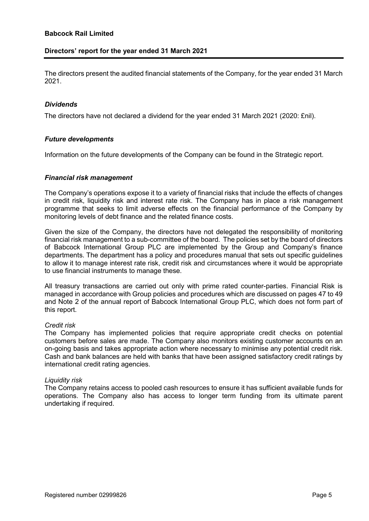# Directors' report for the year ended 31 March 2021

The directors present the audited financial statements of the Company, for the year ended 31 March 2021.

#### Dividends

The directors have not declared a dividend for the year ended 31 March 2021 (2020: £nil).

#### Future developments

Information on the future developments of the Company can be found in the Strategic report.

#### Financial risk management

The Company's operations expose it to a variety of financial risks that include the effects of changes in credit risk, liquidity risk and interest rate risk. The Company has in place a risk management programme that seeks to limit adverse effects on the financial performance of the Company by monitoring levels of debt finance and the related finance costs.

Given the size of the Company, the directors have not delegated the responsibility of monitoring financial risk management to a sub-committee of the board. The policies set by the board of directors of Babcock International Group PLC are implemented by the Group and Company's finance departments. The department has a policy and procedures manual that sets out specific guidelines to allow it to manage interest rate risk, credit risk and circumstances where it would be appropriate to use financial instruments to manage these.

All treasury transactions are carried out only with prime rated counter-parties. Financial Risk is managed in accordance with Group policies and procedures which are discussed on pages 47 to 49 and Note 2 of the annual report of Babcock International Group PLC, which does not form part of this report.

#### Credit risk

The Company has implemented policies that require appropriate credit checks on potential customers before sales are made. The Company also monitors existing customer accounts on an on-going basis and takes appropriate action where necessary to minimise any potential credit risk. Cash and bank balances are held with banks that have been assigned satisfactory credit ratings by international credit rating agencies.

#### Liquidity risk

The Company retains access to pooled cash resources to ensure it has sufficient available funds for operations. The Company also has access to longer term funding from its ultimate parent undertaking if required.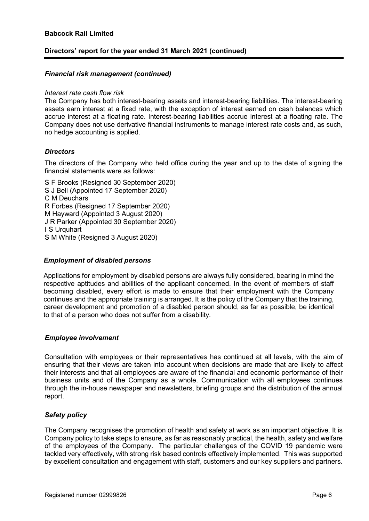# Directors' report for the year ended 31 March 2021 (continued)

#### Financial risk management (continued)

#### Interest rate cash flow risk

The Company has both interest-bearing assets and interest-bearing liabilities. The interest-bearing assets earn interest at a fixed rate, with the exception of interest earned on cash balances which accrue interest at a floating rate. Interest-bearing liabilities accrue interest at a floating rate. The Company does not use derivative financial instruments to manage interest rate costs and, as such, no hedge accounting is applied.

#### **Directors**

The directors of the Company who held office during the year and up to the date of signing the financial statements were as follows:

S F Brooks (Resigned 30 September 2020) S J Bell (Appointed 17 September 2020) C M Deuchars R Forbes (Resigned 17 September 2020) M Hayward (Appointed 3 August 2020) J R Parker (Appointed 30 September 2020) I S Urquhart S M White (Resigned 3 August 2020)

# Employment of disabled persons

Applications for employment by disabled persons are always fully considered, bearing in mind the respective aptitudes and abilities of the applicant concerned. In the event of members of staff becoming disabled, every effort is made to ensure that their employment with the Company continues and the appropriate training is arranged. It is the policy of the Company that the training, career development and promotion of a disabled person should, as far as possible, be identical to that of a person who does not suffer from a disability.

# Employee involvement

Consultation with employees or their representatives has continued at all levels, with the aim of ensuring that their views are taken into account when decisions are made that are likely to affect their interests and that all employees are aware of the financial and economic performance of their business units and of the Company as a whole. Communication with all employees continues through the in-house newspaper and newsletters, briefing groups and the distribution of the annual report.

#### Safety policy

The Company recognises the promotion of health and safety at work as an important objective. It is Company policy to take steps to ensure, as far as reasonably practical, the health, safety and welfare of the employees of the Company. The particular challenges of the COVID 19 pandemic were tackled very effectively, with strong risk based controls effectively implemented. This was supported by excellent consultation and engagement with staff, customers and our key suppliers and partners.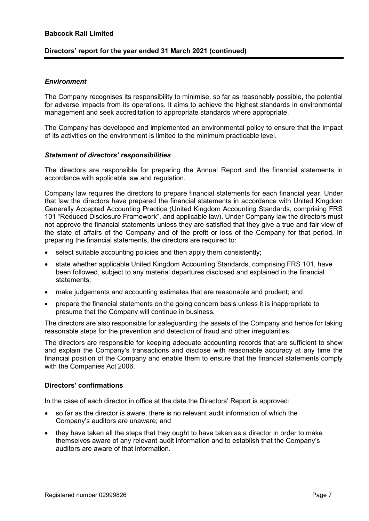# Directors' report for the year ended 31 March 2021 (continued)

# **Environment**

The Company recognises its responsibility to minimise, so far as reasonably possible, the potential for adverse impacts from its operations. It aims to achieve the highest standards in environmental management and seek accreditation to appropriate standards where appropriate.

The Company has developed and implemented an environmental policy to ensure that the impact of its activities on the environment is limited to the minimum practicable level.

#### Statement of directors' responsibilities

The directors are responsible for preparing the Annual Report and the financial statements in accordance with applicable law and regulation.

Company law requires the directors to prepare financial statements for each financial year. Under that law the directors have prepared the financial statements in accordance with United Kingdom Generally Accepted Accounting Practice (United Kingdom Accounting Standards, comprising FRS 101 "Reduced Disclosure Framework", and applicable law). Under Company law the directors must not approve the financial statements unless they are satisfied that they give a true and fair view of the state of affairs of the Company and of the profit or loss of the Company for that period. In preparing the financial statements, the directors are required to:

- select suitable accounting policies and then apply them consistently;
- state whether applicable United Kingdom Accounting Standards, comprising FRS 101, have been followed, subject to any material departures disclosed and explained in the financial statements;
- make judgements and accounting estimates that are reasonable and prudent; and
- prepare the financial statements on the going concern basis unless it is inappropriate to presume that the Company will continue in business.

The directors are also responsible for safeguarding the assets of the Company and hence for taking reasonable steps for the prevention and detection of fraud and other irregularities.

The directors are responsible for keeping adequate accounting records that are sufficient to show and explain the Company's transactions and disclose with reasonable accuracy at any time the financial position of the Company and enable them to ensure that the financial statements comply with the Companies Act 2006.

# Directors' confirmations

In the case of each director in office at the date the Directors' Report is approved:

- so far as the director is aware, there is no relevant audit information of which the Company's auditors are unaware; and
- they have taken all the steps that they ought to have taken as a director in order to make themselves aware of any relevant audit information and to establish that the Company's auditors are aware of that information.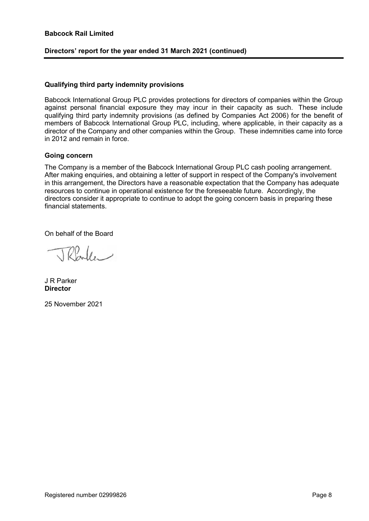# Directors' report for the year ended 31 March 2021 (continued)

#### Qualifying third party indemnity provisions

Babcock International Group PLC provides protections for directors of companies within the Group against personal financial exposure they may incur in their capacity as such. These include qualifying third party indemnity provisions (as defined by Companies Act 2006) for the benefit of members of Babcock International Group PLC, including, where applicable, in their capacity as a director of the Company and other companies within the Group. These indemnities came into force in 2012 and remain in force.

# Going concern

The Company is a member of the Babcock International Group PLC cash pooling arrangement. After making enquiries, and obtaining a letter of support in respect of the Company's involvement in this arrangement, the Directors have a reasonable expectation that the Company has adequate resources to continue in operational existence for the foreseeable future. Accordingly, the directors consider it appropriate to continue to adopt the going concern basis in preparing these financial statements.

On behalf of the Board

Rade

J R Parker **Director** 

25 November 2021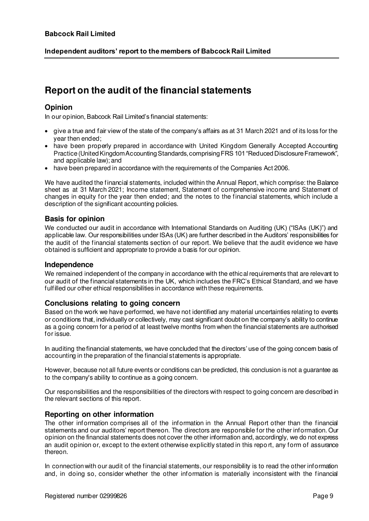# **Report on the audit of the financial statements**

# **Opinion**

In our opinion, Babcock Rail Limited's financial statements:

- give a true and fair view of the state of the company's affairs as at 31 March 2021 and of its loss for the year then ended;
- have been properly prepared in accordance with United Kingdom Generally Accepted Accounting Practice (United Kingdom Accounting Standards, comprising FRS 101 "Reduced Disclosure Framework", and applicable law); and
- have been prepared in accordance with the requirements of the Companies Act 2006.

We have audited the financial statements, included within the Annual Report, which comprise: the Balance sheet as at 31 March 2021; Income statement, Statement of comprehensive income and Statement of changes in equity for the year then ended; and the notes to the financial statements, which include a description of the significant accounting policies.

# **Basis for opinion**

We conducted our audit in accordance with International Standards on Auditing (UK) ("ISAs (UK)") and applicable law. Our responsibilities under ISAs (UK) are further described in the Auditors' responsibilities for the audit of the financial statements section of our report. We believe that the audit evidence we have obtained is sufficient and appropriate to provide a basis for our opinion.

# **Independence**

We remained independent of the company in accordance with the ethical requirements that are relevant to our audit of the financial statements in the UK, which includes the FRC's Ethical Standard, and we have fulfilled our other ethical responsibilities in accordance with these requirements.

# **Conclusions relating to going concern**

Based on the work we have performed, we have not identified any material uncertainties relating to events or conditions that, individually or collectively, may cast significant doubt on the company's ability to continue as a going concern for a period of at least twelve months from when the financial statements are authorised for issue.

In auditing the financial statements, we have concluded that the directors' use of the going concern basis of accounting in the preparation of the financial statements is appropriate.

However, because not all future events or conditions can be predicted, this conclusion is not a guarantee as to the company's ability to continue as a going concern.

Our responsibilities and the responsibilities of the directors with respect to going concern are described in the relevant sections of this report.

# **Reporting on other information**

The other information comprises all of the information in the Annual Report other than the financial statements and our auditors' report thereon. The directors are responsible for the other information. Our opinion on the financial statements does not cover the other information and, accordingly, we do not express an audit opinion or, except to the extent otherwise explicitly stated in this repo rt, any form of assurance thereon.

In connection with our audit of the financial statements, our responsibility is to read the other information and, in doing so, consider whether the other information is materially inconsistent with the financial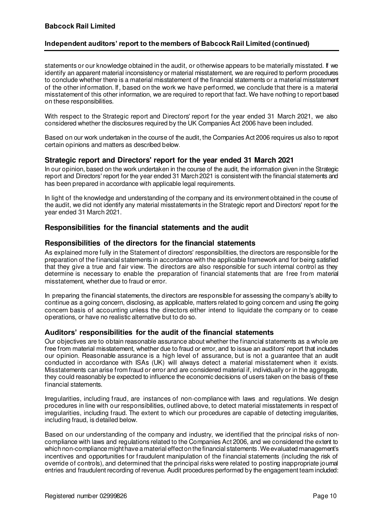# **Independent auditors' report to the members of Babcock Rail Limited (continued)**

statements or our knowledge obtained in the audit, or otherwise appears to be materially misstated. If we identify an apparent material inconsistency or material misstatement, we are required to perform procedures to conclude whether there is a material misstatement of the financial statements or a material misstatement of the other information. If, based on the work we have performed, we conclude that there is a material misstatement of this other information, we are required to report that fact. We have nothing to report based on these responsibilities.

With respect to the Strategic report and Directors' report for the year ended 31 March 2021, we also considered whether the disclosures required by the UK Companies Act 2006 have been included.

Based on our work undertaken in the course of the audit, the Companies Act 2006 requires us also to report certain opinions and matters as described below.

# **Strategic report and Directors' report for the year ended 31 March 2021**

In our opinion, based on the work undertaken in the course of the audit, the information given in the Strategic report and Directors' report for the year ended 31 March 2021 is consistent with the financial statements and has been prepared in accordance with applicable legal requirements.

In light of the knowledge and understanding of the company and its environment obtained in the course of the audit, we did not identify any material misstatements in the Strategic report and Directors' report for the year ended 31 March 2021.

# **Responsibilities for the financial statements and the audit**

# **Responsibilities of the directors for the financial statements**

As explained more fully in the Statement of directors' responsibilities, the directors are responsible for the preparation of the financial statements in accordance with the applicable framework and for being satisfied that they give a true and fair view. The directors are also responsible for such internal control as they determine is necessary to enable the preparation of financial statements that are free from material misstatement, whether due to fraud or error.

In preparing the financial statements, the directors are responsible for assessing the company's ability to continue as a going concern, disclosing, as applicable, matters related to going concern and using the going concern basis of accounting unless the directors either intend to liquidate the company or to cease operations, or have no realistic alternative but to do so.

#### **Auditors' responsibilities for the audit of the financial statements**

Our objectives are to obtain reasonable assurance about whether the financial statements as a whole are free from material misstatement, whether due to fraud or error, and to issue an auditors' report that includes our opinion. Reasonable assurance is a high level of assurance, but is not a guarantee that an audit conducted in accordance with ISAs (UK) will always detect a material misstatement when it exists. Misstatements can arise from fraud or error and are considered material if, individually or in the aggregate, they could reasonably be expected to influence the economic decisions of users taken on the basis of these financial statements.

Irregularities, including fraud, are instances of non-compliance with laws and regulations. We design procedures in line with our responsibilities, outlined above, to detect material misstatements in respect of irregularities, including fraud. The extent to which our procedures are capable of detecting irregularities, including fraud, is detailed below.

Based on our understanding of the company and industry, we identified that the principal risks of noncompliance with laws and regulations related to the Companies Act 2006, and we considered the extent to which non-compliance might have a material effect on the financial statements. We evaluated management's incentives and opportunities for fraudulent manipulation of the financial statements (including the risk of override of controls), and determined that the principal risks were related to posting inappropriate journal entries and fraudulent recording of revenue. Audit procedures performed by the engagement team included: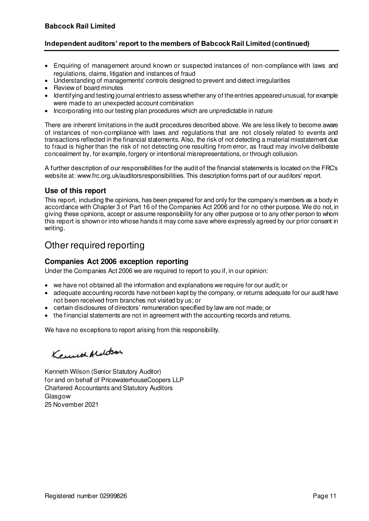# **Independent auditors' report to the members of Babcock Rail Limited (continued)**

- Enquiring of management around known or suspected instances of non-compliance with laws and regulations, claims, litigation and instances of fraud
- Understanding of managements' controls designed to prevent and detect irregularities
- Review of board minutes
- Identifying and testing journal entries to assess whether any of the entries appeared unusual, for example were made to an unexpected account combination
- Incorporating into our testing plan procedures which are unpredictable in nature

There are inherent limitations in the audit procedures described above. We are less likely to become aware of instances of non-compliance with laws and regulations that are not closely related to events and transactions reflected in the financial statements. Also, the risk of not detecting a material misstatement due to fraud is higher than the risk of not detecting one resulting from error, as fraud may involve deliberate concealment by, for example, forgery or intentional misrepresentations, or through collusion.

A further description of our responsibilities for the audit of the financial statements is located on the FRC's website at: www.frc.org.uk/auditorsresponsibilities. This description forms part of our auditors' report.

# **Use of this report**

This report, including the opinions, has been prepared for and only for the company's members as a body in accordance with Chapter 3 of Part 16 of the Companies Act 2006 and for no other purpose. We do not, in giving these opinions, accept or assume responsibility for any other purpose or to any other person to whom this report is shown or into whose hands it may come save where expressly agreed by our prior consent in writing.

# Other required reporting

# **Companies Act 2006 exception reporting**

Under the Companies Act 2006 we are required to report to you if, in our opinion:

- we have not obtained all the information and explanations we require for our audit; or
- adequate accounting records have not been kept by the company, or returns adequate for our audit have not been received from branches not visited by us; or
- certain disclosures of directors' remuneration specified by law are not made; or
- the financial statements are not in agreement with the accounting records and returns.

We have no exceptions to report arising from this responsibility.

Kennet Alelosa

Kenneth Wilson (Senior Statutory Auditor) for and on behalf of PricewaterhouseCoopers LLP Chartered Accountants and Statutory Auditors Glasgow 25 November 2021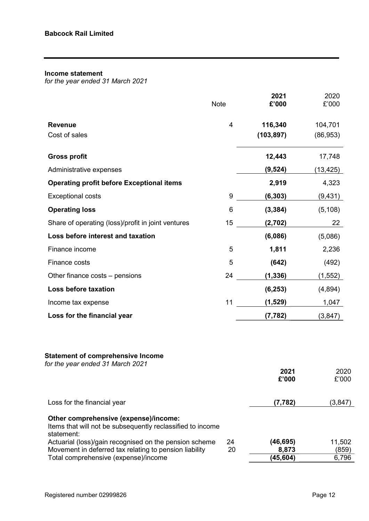# Income statement

for the year ended 31 March 2021

|                                                                                                                   | <b>Note</b>    | 2021<br>£'000 | 2020<br>£'000 |
|-------------------------------------------------------------------------------------------------------------------|----------------|---------------|---------------|
| <b>Revenue</b>                                                                                                    | $\overline{4}$ | 116,340       | 104,701       |
| Cost of sales                                                                                                     |                | (103, 897)    | (86, 953)     |
| <b>Gross profit</b>                                                                                               |                | 12,443        | 17,748        |
| Administrative expenses                                                                                           |                | (9, 524)      | (13,425)      |
| <b>Operating profit before Exceptional items</b>                                                                  |                | 2,919         | 4,323         |
| <b>Exceptional costs</b>                                                                                          | 9              | (6, 303)      | (9, 431)      |
| <b>Operating loss</b>                                                                                             | 6              | (3, 384)      | (5, 108)      |
| Share of operating (loss)/profit in joint ventures                                                                | 15             | (2,702)       | 22            |
| Loss before interest and taxation                                                                                 |                | (6,086)       | (5,086)       |
| Finance income                                                                                                    | 5              | 1,811         | 2,236         |
| Finance costs                                                                                                     | 5              | (642)         | (492)         |
| Other finance costs – pensions                                                                                    | 24             | (1, 336)      | (1, 552)      |
| Loss before taxation                                                                                              |                | (6, 253)      | (4,894)       |
| Income tax expense                                                                                                | 11             | (1,529)       | 1,047         |
| Loss for the financial year                                                                                       |                | (7, 782)      | (3, 847)      |
| <b>Statement of comprehensive Income</b><br>for the year ended 31 March 2021                                      |                | 2021<br>£'000 | 2020<br>£'000 |
| Loss for the financial year                                                                                       |                | (7, 782)      | (3,847)       |
| Other comprehensive (expense)/income:<br>Items that will not be subsequently reclassified to income<br>statement: |                |               |               |
| Actuarial (loss)/gain recognised on the pension scheme                                                            | 24             | (46, 695)     | 11,502        |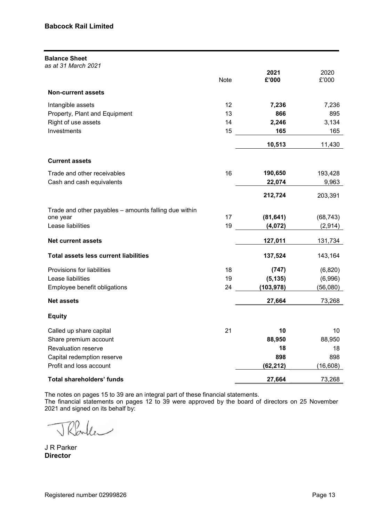| <b>Balance Sheet</b><br>as at 31 March 2021           |      |               |                 |
|-------------------------------------------------------|------|---------------|-----------------|
|                                                       | Note | 2021<br>£'000 | 2020<br>£'000   |
| <b>Non-current assets</b>                             |      |               |                 |
| Intangible assets                                     | 12   | 7,236         | 7,236           |
| Property, Plant and Equipment                         | 13   | 866           | 895             |
| Right of use assets                                   | 14   | 2,246         | 3,134           |
| Investments                                           | 15   | 165           | 165             |
|                                                       |      | 10,513        | 11,430          |
| <b>Current assets</b>                                 |      |               |                 |
| Trade and other receivables                           | 16   | 190,650       | 193,428         |
| Cash and cash equivalents                             |      | 22,074        | 9,963           |
|                                                       |      | 212,724       | 203,391         |
| Trade and other payables - amounts falling due within |      |               |                 |
| one year                                              | 17   | (81, 641)     | (68, 743)       |
| Lease liabilities                                     | 19   | (4,072)       | (2, 914)        |
| <b>Net current assets</b>                             |      | 127,011       | 131,734         |
| <b>Total assets less current liabilities</b>          |      | 137,524       | 143,164         |
| Provisions for liabilities                            | 18   | (747)         | (6,820)         |
| Lease liabilities                                     | 19   | (5, 135)      | (6,996)         |
| Employee benefit obligations                          | 24   | (103,978)     | (56,080)        |
| <b>Net assets</b>                                     |      | 27,664        | 73,268          |
| <b>Equity</b>                                         |      |               |                 |
| Called up share capital                               | 21   | 10            | 10 <sup>°</sup> |
| Share premium account                                 |      | 88,950        | 88,950          |
| Revaluation reserve                                   |      | 18            | 18              |
| Capital redemption reserve                            |      | 898           | 898             |
| Profit and loss account                               |      | (62, 212)     | (16, 608)       |
| Total shareholders' funds                             |      | 27,664        | 73,268          |

The notes on pages 15 to 39 are an integral part of these financial statements.

The financial statements on pages 12 to 39 were approved by the board of directors on 25 November 2021 and signed on its behalf by:

Rade

J R Parker Director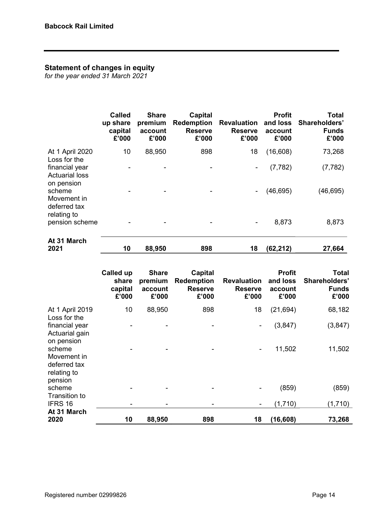# Statement of changes in equity

for the year ended 31 March 2021

|                                                       | <b>Called</b><br>up share<br>capital<br>£'000 | <b>Share</b><br>premium<br>account<br>£'000 | Capital<br><b>Redemption</b><br><b>Reserve</b><br>£'000 | <b>Revaluation</b><br><b>Reserve</b><br>£'000 | <b>Profit</b><br>and loss<br>account<br>£'000 | <b>Total</b><br>Shareholders'<br><b>Funds</b><br>£'000 |
|-------------------------------------------------------|-----------------------------------------------|---------------------------------------------|---------------------------------------------------------|-----------------------------------------------|-----------------------------------------------|--------------------------------------------------------|
| At 1 April 2020<br>Loss for the                       | 10                                            | 88,950                                      | 898                                                     | 18                                            | (16,608)                                      | 73,268                                                 |
| financial year<br><b>Actuarial loss</b><br>on pension |                                               |                                             |                                                         | ۰                                             | (7, 782)                                      | (7, 782)                                               |
| scheme<br>Movement in<br>deferred tax                 |                                               |                                             |                                                         |                                               | (46, 695)                                     | (46, 695)                                              |
| relating to<br>pension scheme                         |                                               |                                             |                                                         |                                               | 8,873                                         | 8,873                                                  |
| $A + 24$ $M$ orob                                     |                                               |                                             |                                                         |                                               |                                               |                                                        |

| 2021        | 10 | 88.950 | 898 | (62, 212) | 27.664 |
|-------------|----|--------|-----|-----------|--------|
| At 31 March |    |        |     |           |        |

|                                                                 | <b>Called up</b><br>share<br>capital<br>£'000 | <b>Share</b><br>premium<br>account<br>£'000 | Capital<br><b>Redemption</b><br><b>Reserve</b><br>£'000 | <b>Revaluation</b><br><b>Reserve</b><br>£'000 | <b>Profit</b><br>and loss<br>account<br>£'000 | Total<br>Shareholders'<br><b>Funds</b><br>£'000 |
|-----------------------------------------------------------------|-----------------------------------------------|---------------------------------------------|---------------------------------------------------------|-----------------------------------------------|-----------------------------------------------|-------------------------------------------------|
| At 1 April 2019<br>Loss for the                                 | 10                                            | 88,950                                      | 898                                                     | 18                                            | (21, 694)                                     | 68,182                                          |
| financial year<br>Actuarial gain<br>on pension                  |                                               |                                             |                                                         | $\overline{\phantom{a}}$                      | (3,847)                                       | (3, 847)                                        |
| scheme<br>Movement in<br>deferred tax<br>relating to<br>pension |                                               |                                             |                                                         | $\blacksquare$                                | 11,502                                        | 11,502                                          |
| scheme                                                          |                                               |                                             |                                                         |                                               | (859)                                         | (859)                                           |
| Transition to<br>IFRS 16                                        |                                               |                                             |                                                         | $\blacksquare$                                | (1,710)                                       | (1,710)                                         |
| At 31 March<br>2020                                             | 10                                            | 88,950                                      | 898                                                     | 18                                            | (16, 608)                                     | 73,268                                          |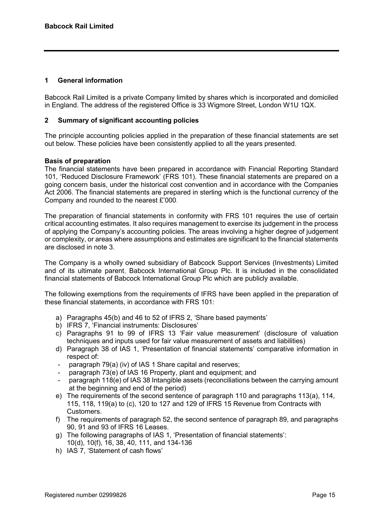# 1 General information

Babcock Rail Limited is a private Company limited by shares which is incorporated and domiciled in England. The address of the registered Office is 33 Wigmore Street, London W1U 1QX.

#### 2 Summary of significant accounting policies

The principle accounting policies applied in the preparation of these financial statements are set out below. These policies have been consistently applied to all the years presented.

# Basis of preparation

The financial statements have been prepared in accordance with Financial Reporting Standard 101, 'Reduced Disclosure Framework' (FRS 101). These financial statements are prepared on a going concern basis, under the historical cost convention and in accordance with the Companies Act 2006. The financial statements are prepared in sterling which is the functional currency of the Company and rounded to the nearest £'000.

The preparation of financial statements in conformity with FRS 101 requires the use of certain critical accounting estimates. It also requires management to exercise its judgement in the process of applying the Company's accounting policies. The areas involving a higher degree of judgement or complexity, or areas where assumptions and estimates are significant to the financial statements are disclosed in note 3.

The Company is a wholly owned subsidiary of Babcock Support Services (Investments) Limited and of its ultimate parent, Babcock International Group Plc. It is included in the consolidated financial statements of Babcock International Group Plc which are publicly available.

The following exemptions from the requirements of IFRS have been applied in the preparation of these financial statements, in accordance with FRS 101:

- a) Paragraphs 45(b) and 46 to 52 of IFRS 2, 'Share based payments'
- b) IFRS 7, 'Financial instruments: Disclosures'
- c) Paragraphs 91 to 99 of IFRS 13 'Fair value measurement' (disclosure of valuation techniques and inputs used for fair value measurement of assets and liabilities)
- d) Paragraph 38 of IAS 1, 'Presentation of financial statements' comparative information in respect of:
- paragraph 79(a) (iv) of IAS 1 Share capital and reserves;
- paragraph 73(e) of IAS 16 Property, plant and equipment; and
- paragraph 118(e) of IAS 38 Intangible assets (reconciliations between the carrying amount at the beginning and end of the period)
- e) The requirements of the second sentence of paragraph 110 and paragraphs 113(a), 114, 115, 118, 119(a) to (c), 120 to 127 and 129 of IFRS 15 Revenue from Contracts with Customers.
- f) The requirements of paragraph 52, the second sentence of paragraph 89, and paragraphs 90, 91 and 93 of IFRS 16 Leases.
- g) The following paragraphs of IAS 1, 'Presentation of financial statements': 10(d), 10(f), 16, 38, 40, 111, and 134-136
- h) IAS 7, 'Statement of cash flows'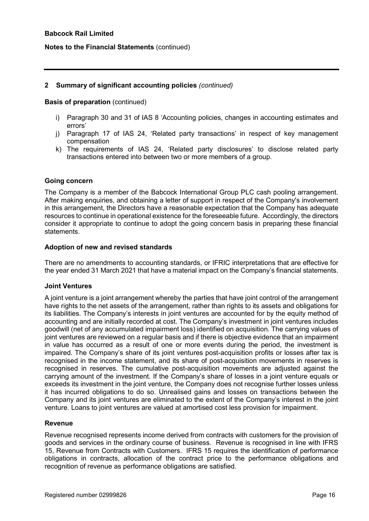#### Notes to the Financial Statements (continued)

#### 2 Summary of significant accounting policies (continued)

#### Basis of preparation (continued)

- i) Paragraph 30 and 31 of IAS 8 'Accounting policies, changes in accounting estimates and errors'
- j) Paragraph 17 of IAS 24, 'Related party transactions' in respect of key management compensation
- k) The requirements of IAS 24, 'Related party disclosures' to disclose related party transactions entered into between two or more members of a group.

#### Going concern

The Company is a member of the Babcock International Group PLC cash pooling arrangement. After making enquiries, and obtaining a letter of support in respect of the Company's involvement in this arrangement, the Directors have a reasonable expectation that the Company has adequate resources to continue in operational existence for the foreseeable future. Accordingly, the directors consider it appropriate to continue to adopt the going concern basis in preparing these financial statements.

# Adoption of new and revised standards

There are no amendments to accounting standards, or IFRIC interpretations that are effective for the year ended 31 March 2021 that have a material impact on the Company's financial statements.

#### Joint Ventures

A joint venture is a joint arrangement whereby the parties that have joint control of the arrangement have rights to the net assets of the arrangement, rather than rights to its assets and obligations for its liabilities. The Company's interests in joint ventures are accounted for by the equity method of accounting and are initially recorded at cost. The Company's investment in joint ventures includes goodwill (net of any accumulated impairment loss) identified on acquisition. The carrying values of joint ventures are reviewed on a regular basis and if there is objective evidence that an impairment in value has occurred as a result of one or more events during the period, the investment is impaired. The Company's share of its joint ventures post-acquisition profits or losses after tax is recognised in the income statement, and its share of post-acquisition movements in reserves is recognised in reserves. The cumulative post-acquisition movements are adjusted against the carrying amount of the investment. If the Company's share of losses in a joint venture equals or exceeds its investment in the joint venture, the Company does not recognise further losses unless it has incurred obligations to do so. Unrealised gains and losses on transactions between the Company and its joint ventures are eliminated to the extent of the Company's interest in the joint venture. Loans to joint ventures are valued at amortised cost less provision for impairment.

#### Revenue

Revenue recognised represents income derived from contracts with customers for the provision of goods and services in the ordinary course of business. Revenue is recognised in line with IFRS 15, Revenue from Contracts with Customers. IFRS 15 requires the identification of performance obligations in contracts, allocation of the contract price to the performance obligations and recognition of revenue as performance obligations are satisfied.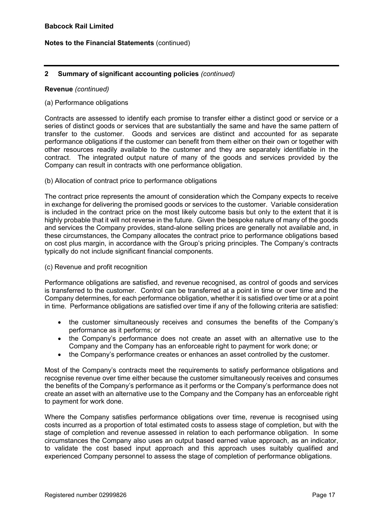# 2 Summary of significant accounting policies (continued)

#### Revenue (continued)

#### (a) Performance obligations

Contracts are assessed to identify each promise to transfer either a distinct good or service or a series of distinct goods or services that are substantially the same and have the same pattern of transfer to the customer. Goods and services are distinct and accounted for as separate performance obligations if the customer can benefit from them either on their own or together with other resources readily available to the customer and they are separately identifiable in the contract. The integrated output nature of many of the goods and services provided by the Company can result in contracts with one performance obligation.

#### (b) Allocation of contract price to performance obligations

The contract price represents the amount of consideration which the Company expects to receive in exchange for delivering the promised goods or services to the customer. Variable consideration is included in the contract price on the most likely outcome basis but only to the extent that it is highly probable that it will not reverse in the future. Given the bespoke nature of many of the goods and services the Company provides, stand-alone selling prices are generally not available and, in these circumstances, the Company allocates the contract price to performance obligations based on cost plus margin, in accordance with the Group's pricing principles. The Company's contracts typically do not include significant financial components.

#### (c) Revenue and profit recognition

Performance obligations are satisfied, and revenue recognised, as control of goods and services is transferred to the customer. Control can be transferred at a point in time or over time and the Company determines, for each performance obligation, whether it is satisfied over time or at a point in time. Performance obligations are satisfied over time if any of the following criteria are satisfied:

- the customer simultaneously receives and consumes the benefits of the Company's performance as it performs; or
- the Company's performance does not create an asset with an alternative use to the Company and the Company has an enforceable right to payment for work done; or
- the Company's performance creates or enhances an asset controlled by the customer.

Most of the Company's contracts meet the requirements to satisfy performance obligations and recognise revenue over time either because the customer simultaneously receives and consumes the benefits of the Company's performance as it performs or the Company's performance does not create an asset with an alternative use to the Company and the Company has an enforceable right to payment for work done.

Where the Company satisfies performance obligations over time, revenue is recognised using costs incurred as a proportion of total estimated costs to assess stage of completion, but with the stage of completion and revenue assessed in relation to each performance obligation. In some circumstances the Company also uses an output based earned value approach, as an indicator, to validate the cost based input approach and this approach uses suitably qualified and experienced Company personnel to assess the stage of completion of performance obligations.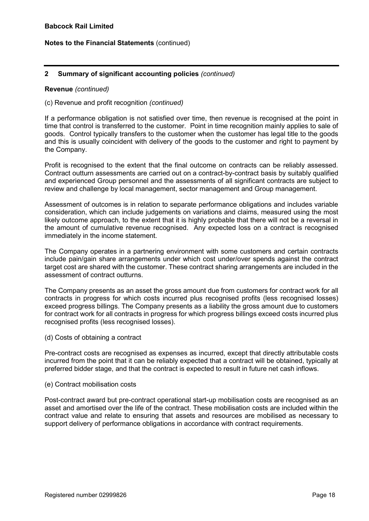# 2 Summary of significant accounting policies (continued)

#### Revenue (continued)

#### (c) Revenue and profit recognition (continued)

If a performance obligation is not satisfied over time, then revenue is recognised at the point in time that control is transferred to the customer. Point in time recognition mainly applies to sale of goods. Control typically transfers to the customer when the customer has legal title to the goods and this is usually coincident with delivery of the goods to the customer and right to payment by the Company.

Profit is recognised to the extent that the final outcome on contracts can be reliably assessed. Contract outturn assessments are carried out on a contract-by-contract basis by suitably qualified and experienced Group personnel and the assessments of all significant contracts are subject to review and challenge by local management, sector management and Group management.

Assessment of outcomes is in relation to separate performance obligations and includes variable consideration, which can include judgements on variations and claims, measured using the most likely outcome approach, to the extent that it is highly probable that there will not be a reversal in the amount of cumulative revenue recognised. Any expected loss on a contract is recognised immediately in the income statement.

The Company operates in a partnering environment with some customers and certain contracts include pain/gain share arrangements under which cost under/over spends against the contract target cost are shared with the customer. These contract sharing arrangements are included in the assessment of contract outturns.

The Company presents as an asset the gross amount due from customers for contract work for all contracts in progress for which costs incurred plus recognised profits (less recognised losses) exceed progress billings. The Company presents as a liability the gross amount due to customers for contract work for all contracts in progress for which progress billings exceed costs incurred plus recognised profits (less recognised losses).

(d) Costs of obtaining a contract

Pre-contract costs are recognised as expenses as incurred, except that directly attributable costs incurred from the point that it can be reliably expected that a contract will be obtained, typically at preferred bidder stage, and that the contract is expected to result in future net cash inflows.

#### (e) Contract mobilisation costs

Post-contract award but pre-contract operational start-up mobilisation costs are recognised as an asset and amortised over the life of the contract. These mobilisation costs are included within the contract value and relate to ensuring that assets and resources are mobilised as necessary to support delivery of performance obligations in accordance with contract requirements.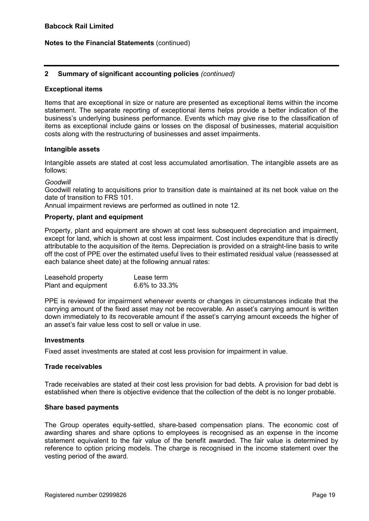# 2 Summary of significant accounting policies (continued)

#### Exceptional items

Items that are exceptional in size or nature are presented as exceptional items within the income statement. The separate reporting of exceptional items helps provide a better indication of the business's underlying business performance. Events which may give rise to the classification of items as exceptional include gains or losses on the disposal of businesses, material acquisition costs along with the restructuring of businesses and asset impairments.

#### Intangible assets

Intangible assets are stated at cost less accumulated amortisation. The intangible assets are as follows:

#### Goodwill

Goodwill relating to acquisitions prior to transition date is maintained at its net book value on the date of transition to FRS 101.

Annual impairment reviews are performed as outlined in note 12.

#### Property, plant and equipment

Property, plant and equipment are shown at cost less subsequent depreciation and impairment, except for land, which is shown at cost less impairment. Cost includes expenditure that is directly attributable to the acquisition of the items. Depreciation is provided on a straight-line basis to write off the cost of PPE over the estimated useful lives to their estimated residual value (reassessed at each balance sheet date) at the following annual rates:

| Leasehold property  | Lease term    |
|---------------------|---------------|
| Plant and equipment | 6.6% to 33.3% |

PPE is reviewed for impairment whenever events or changes in circumstances indicate that the carrying amount of the fixed asset may not be recoverable. An asset's carrying amount is written down immediately to its recoverable amount if the asset's carrying amount exceeds the higher of an asset's fair value less cost to sell or value in use.

#### Investments

Fixed asset investments are stated at cost less provision for impairment in value.

#### Trade receivables

Trade receivables are stated at their cost less provision for bad debts. A provision for bad debt is established when there is objective evidence that the collection of the debt is no longer probable.

#### Share based payments

The Group operates equity-settled, share-based compensation plans. The economic cost of awarding shares and share options to employees is recognised as an expense in the income statement equivalent to the fair value of the benefit awarded. The fair value is determined by reference to option pricing models. The charge is recognised in the income statement over the vesting period of the award.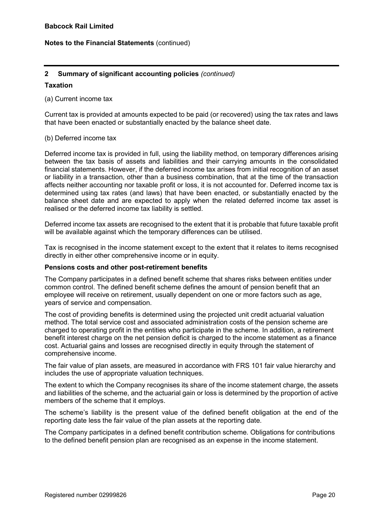# 2 Summary of significant accounting policies (continued)

#### **Taxation**

#### (a) Current income tax

Current tax is provided at amounts expected to be paid (or recovered) using the tax rates and laws that have been enacted or substantially enacted by the balance sheet date.

#### (b) Deferred income tax

Deferred income tax is provided in full, using the liability method, on temporary differences arising between the tax basis of assets and liabilities and their carrying amounts in the consolidated financial statements. However, if the deferred income tax arises from initial recognition of an asset or liability in a transaction, other than a business combination, that at the time of the transaction affects neither accounting nor taxable profit or loss, it is not accounted for. Deferred income tax is determined using tax rates (and laws) that have been enacted, or substantially enacted by the balance sheet date and are expected to apply when the related deferred income tax asset is realised or the deferred income tax liability is settled.

Deferred income tax assets are recognised to the extent that it is probable that future taxable profit will be available against which the temporary differences can be utilised.

Tax is recognised in the income statement except to the extent that it relates to items recognised directly in either other comprehensive income or in equity.

#### Pensions costs and other post-retirement benefits

The Company participates in a defined benefit scheme that shares risks between entities under common control. The defined benefit scheme defines the amount of pension benefit that an employee will receive on retirement, usually dependent on one or more factors such as age, years of service and compensation.

The cost of providing benefits is determined using the projected unit credit actuarial valuation method. The total service cost and associated administration costs of the pension scheme are charged to operating profit in the entities who participate in the scheme. In addition, a retirement benefit interest charge on the net pension deficit is charged to the income statement as a finance cost. Actuarial gains and losses are recognised directly in equity through the statement of comprehensive income.

The fair value of plan assets, are measured in accordance with FRS 101 fair value hierarchy and includes the use of appropriate valuation techniques.

The extent to which the Company recognises its share of the income statement charge, the assets and liabilities of the scheme, and the actuarial gain or loss is determined by the proportion of active members of the scheme that it employs.

The scheme's liability is the present value of the defined benefit obligation at the end of the reporting date less the fair value of the plan assets at the reporting date.

The Company participates in a defined benefit contribution scheme. Obligations for contributions to the defined benefit pension plan are recognised as an expense in the income statement.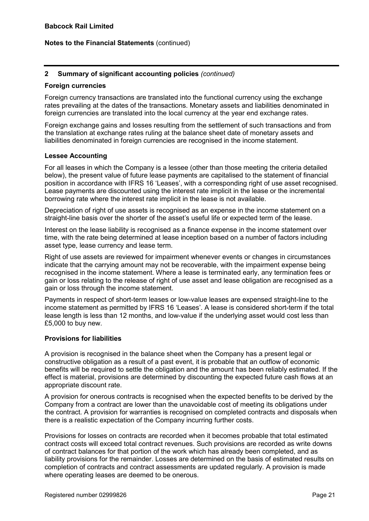# 2 Summary of significant accounting policies (continued)

#### Foreign currencies

Foreign currency transactions are translated into the functional currency using the exchange rates prevailing at the dates of the transactions. Monetary assets and liabilities denominated in foreign currencies are translated into the local currency at the year end exchange rates.

Foreign exchange gains and losses resulting from the settlement of such transactions and from the translation at exchange rates ruling at the balance sheet date of monetary assets and liabilities denominated in foreign currencies are recognised in the income statement.

#### Lessee Accounting

For all leases in which the Company is a lessee (other than those meeting the criteria detailed below), the present value of future lease payments are capitalised to the statement of financial position in accordance with IFRS 16 'Leases', with a corresponding right of use asset recognised. Lease payments are discounted using the interest rate implicit in the lease or the incremental borrowing rate where the interest rate implicit in the lease is not available.

Depreciation of right of use assets is recognised as an expense in the income statement on a straight-line basis over the shorter of the asset's useful life or expected term of the lease.

Interest on the lease liability is recognised as a finance expense in the income statement over time, with the rate being determined at lease inception based on a number of factors including asset type, lease currency and lease term.

Right of use assets are reviewed for impairment whenever events or changes in circumstances indicate that the carrying amount may not be recoverable, with the impairment expense being recognised in the income statement. Where a lease is terminated early, any termination fees or gain or loss relating to the release of right of use asset and lease obligation are recognised as a gain or loss through the income statement.

Payments in respect of short-term leases or low-value leases are expensed straight-line to the income statement as permitted by IFRS 16 'Leases'. A lease is considered short-term if the total lease length is less than 12 months, and low-value if the underlying asset would cost less than £5,000 to buy new.

#### Provisions for liabilities

A provision is recognised in the balance sheet when the Company has a present legal or constructive obligation as a result of a past event, it is probable that an outflow of economic benefits will be required to settle the obligation and the amount has been reliably estimated. If the effect is material, provisions are determined by discounting the expected future cash flows at an appropriate discount rate.

A provision for onerous contracts is recognised when the expected benefits to be derived by the Company from a contract are lower than the unavoidable cost of meeting its obligations under the contract. A provision for warranties is recognised on completed contracts and disposals when there is a realistic expectation of the Company incurring further costs.

Provisions for losses on contracts are recorded when it becomes probable that total estimated contract costs will exceed total contract revenues. Such provisions are recorded as write downs of contract balances for that portion of the work which has already been completed, and as liability provisions for the remainder. Losses are determined on the basis of estimated results on completion of contracts and contract assessments are updated regularly. A provision is made where operating leases are deemed to be onerous.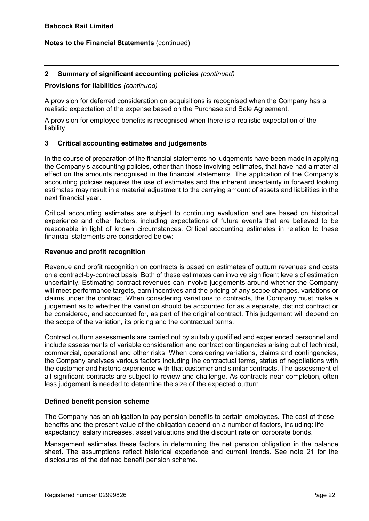# 2 Summary of significant accounting policies (continued)

#### Provisions for liabilities (continued)

A provision for deferred consideration on acquisitions is recognised when the Company has a realistic expectation of the expense based on the Purchase and Sale Agreement.

A provision for employee benefits is recognised when there is a realistic expectation of the liability.

# 3 Critical accounting estimates and judgements

In the course of preparation of the financial statements no judgements have been made in applying the Company's accounting policies, other than those involving estimates, that have had a material effect on the amounts recognised in the financial statements. The application of the Company's accounting policies requires the use of estimates and the inherent uncertainty in forward looking estimates may result in a material adjustment to the carrying amount of assets and liabilities in the next financial year.

Critical accounting estimates are subject to continuing evaluation and are based on historical experience and other factors, including expectations of future events that are believed to be reasonable in light of known circumstances. Critical accounting estimates in relation to these financial statements are considered below:

#### Revenue and profit recognition

Revenue and profit recognition on contracts is based on estimates of outturn revenues and costs on a contract-by-contract basis. Both of these estimates can involve significant levels of estimation uncertainty. Estimating contract revenues can involve judgements around whether the Company will meet performance targets, earn incentives and the pricing of any scope changes, variations or claims under the contract. When considering variations to contracts, the Company must make a judgement as to whether the variation should be accounted for as a separate, distinct contract or be considered, and accounted for, as part of the original contract. This judgement will depend on the scope of the variation, its pricing and the contractual terms.

Contract outturn assessments are carried out by suitably qualified and experienced personnel and include assessments of variable consideration and contract contingencies arising out of technical, commercial, operational and other risks. When considering variations, claims and contingencies, the Company analyses various factors including the contractual terms, status of negotiations with the customer and historic experience with that customer and similar contracts. The assessment of all significant contracts are subject to review and challenge. As contracts near completion, often less judgement is needed to determine the size of the expected outturn.

# Defined benefit pension scheme

The Company has an obligation to pay pension benefits to certain employees. The cost of these benefits and the present value of the obligation depend on a number of factors, including: life expectancy, salary increases, asset valuations and the discount rate on corporate bonds.

Management estimates these factors in determining the net pension obligation in the balance sheet. The assumptions reflect historical experience and current trends. See note 21 for the disclosures of the defined benefit pension scheme.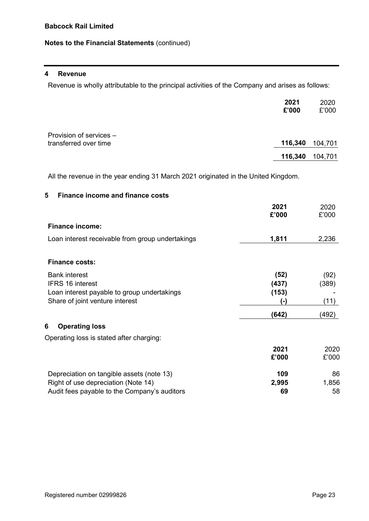#### 4 Revenue

Revenue is wholly attributable to the principal activities of the Company and arises as follows:

|                                                  | 2021<br>£'000 | 2020<br>£'000 |
|--------------------------------------------------|---------------|---------------|
| Provision of services -<br>transferred over time | 116,340       | 104,701       |
|                                                  | 116,340       | 104,701       |

All the revenue in the year ending 31 March 2021 originated in the United Kingdom.

# 5 Finance income and finance costs

|                                                  | 2021<br>£'000 | 2020<br>£'000 |
|--------------------------------------------------|---------------|---------------|
| <b>Finance income:</b>                           |               |               |
| Loan interest receivable from group undertakings | 1,811         | 2,236         |
| <b>Finance costs:</b>                            |               |               |
| <b>Bank interest</b>                             | (52)          | (92)          |
| <b>IFRS 16 interest</b>                          | (437)         | (389)         |
| Loan interest payable to group undertakings      | (153)         |               |
| Share of joint venture interest                  | (-)           | (11)          |
|                                                  | (642)         | (492)         |
| 6<br><b>Operating loss</b>                       |               |               |
| Operating loss is stated after charging:         |               |               |
|                                                  | 2021          | 2020          |
|                                                  | £'000         | £'000         |
| Depreciation on tangible assets (note 13)        | 109           | 86            |
| Right of use depreciation (Note 14)              | 2,995         | 1,856         |
| Audit fees payable to the Company's auditors     | 69            | 58            |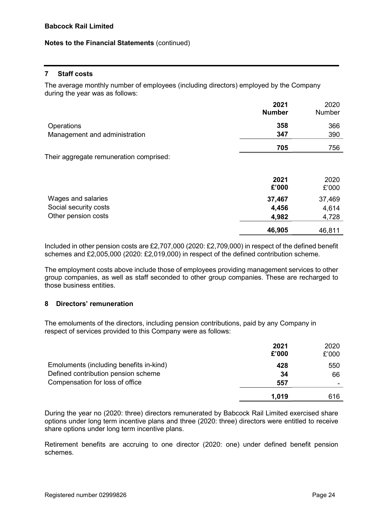# 7 Staff costs

The average monthly number of employees (including directors) employed by the Company during the year was as follows:

|                                         | 2021<br><b>Number</b> | 2020<br>Number |
|-----------------------------------------|-----------------------|----------------|
| Operations                              | 358                   | 366            |
| Management and administration           | 347                   | 390            |
|                                         | 705                   | 756            |
| Their aggregate remuneration comprised: |                       |                |
|                                         | 2021<br>£'000         | 2020<br>£'000  |
| Wages and salaries                      | 37,467                | 37,469         |
| Social security costs                   | 4,456                 | 4,614          |
| Other pension costs                     | 4,982                 | 4,728          |
|                                         | 46,905                | 46,811         |

Included in other pension costs are £2,707,000 (2020: £2,709,000) in respect of the defined benefit schemes and £2,005,000 (2020: £2,019,000) in respect of the defined contribution scheme.

The employment costs above include those of employees providing management services to other group companies, as well as staff seconded to other group companies. These are recharged to those business entities.

# 8 Directors' remuneration

The emoluments of the directors, including pension contributions, paid by any Company in respect of services provided to this Company were as follows:

|                                         | 2021<br>£'000 | 2020<br>£'000 |
|-----------------------------------------|---------------|---------------|
| Emoluments (including benefits in-kind) | 428           | 550           |
| Defined contribution pension scheme     | 34            | 66            |
| Compensation for loss of office         | 557           |               |
|                                         | 1,019         | 616           |

During the year no (2020: three) directors remunerated by Babcock Rail Limited exercised share options under long term incentive plans and three (2020: three) directors were entitled to receive share options under long term incentive plans.

Retirement benefits are accruing to one director (2020: one) under defined benefit pension schemes.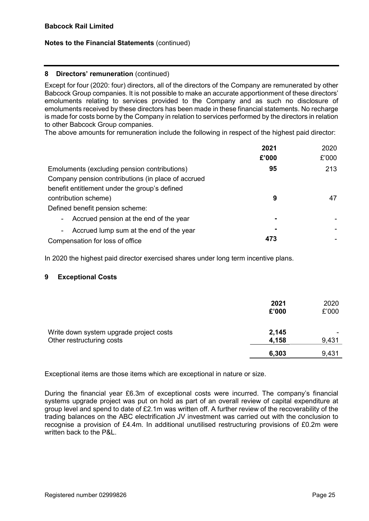#### 8 Directors' remuneration (continued)

Except for four (2020: four) directors, all of the directors of the Company are remunerated by other Babcock Group companies. It is not possible to make an accurate apportionment of these directors' emoluments relating to services provided to the Company and as such no disclosure of emoluments received by these directors has been made in these financial statements. No recharge is made for costs borne by the Company in relation to services performed by the directors in relation to other Babcock Group companies.

The above amounts for remuneration include the following in respect of the highest paid director:

|                                                    | 2021  | 2020  |
|----------------------------------------------------|-------|-------|
|                                                    | £'000 | £'000 |
| Emoluments (excluding pension contributions)       | 95    | 213   |
| Company pension contributions (in place of accrued |       |       |
| benefit entitlement under the group's defined      |       |       |
| contribution scheme)                               | 9     | 47    |
| Defined benefit pension scheme:                    |       |       |
| Accrued pension at the end of the year<br>$\sim$   | ٠     |       |
| Accrued lump sum at the end of the year<br>$\sim$  |       |       |
| Compensation for loss of office                    | 473   |       |

In 2020 the highest paid director exercised shares under long term incentive plans.

# 9 Exceptional Costs

|                                                                      | 2021<br>£'000  | 2020<br>£'000 |
|----------------------------------------------------------------------|----------------|---------------|
| Write down system upgrade project costs<br>Other restructuring costs | 2,145<br>4,158 | 9,431         |
|                                                                      | 6,303          | 9,431         |

Exceptional items are those items which are exceptional in nature or size.

During the financial year £6.3m of exceptional costs were incurred. The company's financial systems upgrade project was put on hold as part of an overall review of capital expenditure at group level and spend to date of £2.1m was written off. A further review of the recoverability of the trading balances on the ABC electrification JV investment was carried out with the conclusion to recognise a provision of £4.4m. In additional unutilised restructuring provisions of £0.2m were written back to the P&L.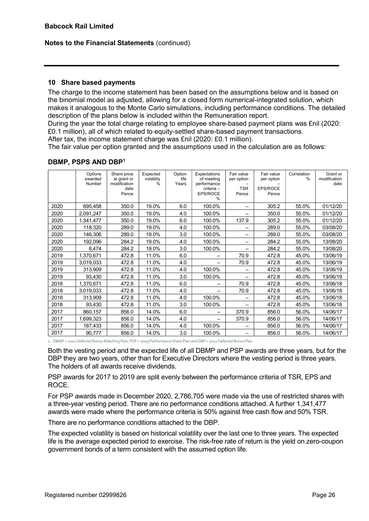# 10 Share based payments

The charge to the income statement has been based on the assumptions below and is based on the binomial model as adjusted, allowing for a closed form numerical-integrated solution, which makes it analogous to the Monte Carlo simulations, including performance conditions. The detailed description of the plans below is included within the Remuneration report.

During the year the total charge relating to employee share-based payment plans was £nil (2020: £0.1 million), all of which related to equity-settled share-based payment transactions.

After tax, the income statement charge was £nil (2020: £0.1 million).

The fair value per option granted and the assumptions used in the calculation are as follows:

|      | Options<br>awarded<br>Number | Share price<br>at grant or<br>modification<br>date<br>Pence | Expected<br>volatility<br>$\frac{0}{0}$ | Option<br>life<br>Years | Expectations<br>of meeting<br>performance<br>criteria -<br><b>EPS/ROCE</b><br>$\frac{0}{0}$ | Fair value<br>per option<br><b>TSR</b><br>Pence | Fair value<br>per option<br>EPS/ROCE<br>Pence | Correlation<br>$\frac{0}{0}$ | Grant or<br>modification<br>date |
|------|------------------------------|-------------------------------------------------------------|-----------------------------------------|-------------------------|---------------------------------------------------------------------------------------------|-------------------------------------------------|-----------------------------------------------|------------------------------|----------------------------------|
| 2020 | 695,458                      | 350.0                                                       | 19.0%                                   | 6.0                     | 100.0%                                                                                      |                                                 | 305.2                                         | 55.0%                        | 01/12/20                         |
| 2020 | 2,091,247                    | 350.0                                                       | 19.0%                                   | 4.0                     | 100.0%                                                                                      | —                                               | 350.0                                         | 55.0%                        | 01/12/20                         |
| 2020 | 1,341,477                    | 350.0                                                       | 19.0%                                   | 6.0                     | 100.0%                                                                                      | 137.9                                           | 305.2                                         | 55.0%                        | 01/12/20                         |
| 2020 | 118,320                      | 289.0                                                       | 19.0%                                   | 4.0                     | 100.0%                                                                                      | -                                               | 289.0                                         | 55.0%                        | 03/08/20                         |
| 2020 | 146,306                      | 289.0                                                       | 19.0%                                   | 3.0                     | 100.0%                                                                                      | -                                               | 289.0                                         | 55.0%                        | 03/08/20                         |
| 2020 | 192,096                      | 284.2                                                       | 19.0%                                   | 4.0                     | 100.0%                                                                                      | -                                               | 284.2                                         | 55.0%                        | 13/08/20                         |
| 2020 | 8,474                        | 284.2                                                       | 19.0%                                   | 3.0                     | 100.0%                                                                                      | $\overline{\phantom{0}}$                        | 284.2                                         | 55.0%                        | 13/08/20                         |
| 2019 | 1,370,671                    | 472.8                                                       | 11.0%                                   | 6.0                     | -                                                                                           | 70.9                                            | 472.8                                         | 45.0%                        | 13/06/19                         |
| 2019 | 3,019,033                    | 472.8                                                       | 11.0%                                   | 4.0                     |                                                                                             | 70.9                                            | 472.8                                         | 45.0%                        | 13/06/19                         |
| 2019 | 313,909                      | 472.8                                                       | 11.0%                                   | 4.0                     | 100.0%                                                                                      |                                                 | 472.8                                         | 45.0%                        | 13/06/19                         |
| 2019 | 93,430                       | 472.8                                                       | 11.0%                                   | 3.0                     | 100.0%                                                                                      | -                                               | 472.8                                         | 45.0%                        | 13/06/19                         |
| 2018 | 1,370,671                    | 472.8                                                       | 11.0%                                   | 6.0                     | -                                                                                           | 70.9                                            | 472.8                                         | 45.0%                        | 13/06/18                         |
| 2018 | 3,019,033                    | 472.8                                                       | 11.0%                                   | 4.0                     | -                                                                                           | 70.9                                            | 472.8                                         | 45.0%                        | 13/06/18                         |
| 2018 | 313,909                      | 472.8                                                       | 11.0%                                   | 4.0                     | 100.0%                                                                                      | -                                               | 472.8                                         | 45.0%                        | 13/06/18                         |
| 2018 | 93,430                       | 472.8                                                       | 11.0%                                   | 3.0                     | 100.0%                                                                                      |                                                 | 472.8                                         | 45.0%                        | 13/06/18                         |
| 2017 | 860,157                      | 856.0                                                       | 14.0%                                   | 6.0                     | —                                                                                           | 370.9                                           | 856.0                                         | 56.0%                        | 14/06/17                         |
| 2017 | 1,699,323                    | 856.0                                                       | 14.0%                                   | 4.0                     |                                                                                             | 370.9                                           | 856.0                                         | 56.0%                        | 14/06/17                         |
| 2017 | 187,433                      | 856.0                                                       | 14.0%                                   | 4.0                     | 100.0%                                                                                      |                                                 | 856.0                                         | 56.0%                        | 14/06/17                         |
| 2017 | 90,777                       | 856.0                                                       | 14.0%                                   | 3.0                     | 100.0%                                                                                      |                                                 | 856.0                                         | 56.0%                        | 14/06/17                         |

#### DBMP, PSPS AND DBP<sup>1</sup>

1. DBMP = 2012 Deferred Bonus Matching Plan, PSP = 2009 Performance Share Plan and DBP = 2012 Deferred Bonus Plan.

Both the vesting period and the expected life of all DBMP and PSP awards are three years, but for the DBP they are two years, other than for Executive Directors where the vesting period is three years. The holders of all awards receive dividends.

PSP awards for 2017 to 2019 are split evenly between the performance criteria of TSR, EPS and ROCE.

For PSP awards made in December 2020, 2,786,705 were made via the use of restricted shares with a three-year vesting period. There are no performance conditions attached. A further 1,341,477 awards were made where the performance criteria is 50% against free cash flow and 50% TSR.

There are no performance conditions attached to the DBP.

The expected volatility is based on historical volatility over the last one to three years. The expected life is the average expected period to exercise. The risk-free rate of return is the yield on zero-coupon government bonds of a term consistent with the assumed option life.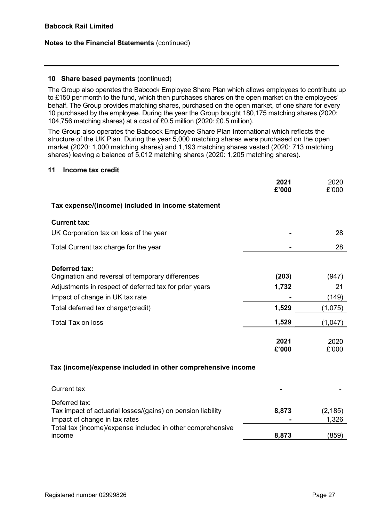# 10 Share based payments (continued)

The Group also operates the Babcock Employee Share Plan which allows employees to contribute up to £150 per month to the fund, which then purchases shares on the open market on the employees' behalf. The Group provides matching shares, purchased on the open market, of one share for every 10 purchased by the employee. During the year the Group bought 180,175 matching shares (2020: 104,756 matching shares) at a cost of £0.5 million (2020: £0.5 million).

The Group also operates the Babcock Employee Share Plan International which reflects the structure of the UK Plan. During the year 5,000 matching shares were purchased on the open market (2020: 1,000 matching shares) and 1,193 matching shares vested (2020: 713 matching shares) leaving a balance of 5,012 matching shares (2020: 1,205 matching shares).

#### 11 Income tax credit

|                                                                      | 2021<br>£'000 | 2020<br>£'000 |
|----------------------------------------------------------------------|---------------|---------------|
| Tax expense/(income) included in income statement                    |               |               |
| <b>Current tax:</b>                                                  |               |               |
| UK Corporation tax on loss of the year                               |               | 28            |
| Total Current tax charge for the year                                |               | 28            |
| <b>Deferred tax:</b>                                                 |               |               |
| Origination and reversal of temporary differences                    | (203)         | (947)         |
| Adjustments in respect of deferred tax for prior years               | 1,732         | 21            |
| Impact of change in UK tax rate                                      |               | (149)         |
| Total deferred tax charge/(credit)                                   | 1,529         | (1,075)       |
| <b>Total Tax on loss</b>                                             | 1,529         | (1,047)       |
|                                                                      | 2021<br>£'000 | 2020<br>£'000 |
| Tax (income)/expense included in other comprehensive income          |               |               |
| <b>Current tax</b>                                                   |               |               |
| Deferred tax:                                                        |               |               |
| Tax impact of actuarial losses/(gains) on pension liability          | 8,873         | (2, 185)      |
| Impact of change in tax rates                                        |               | 1,326         |
| Total tax (income)/expense included in other comprehensive<br>income | 8,873         | (859)         |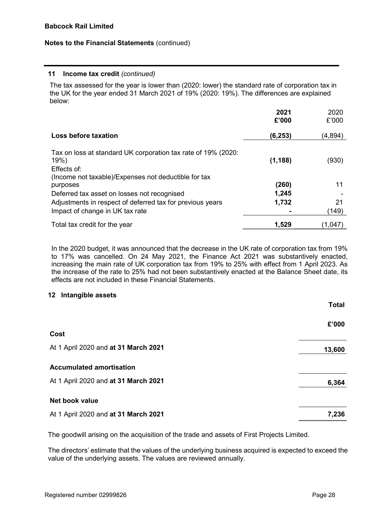#### 11 Income tax credit (continued)

The tax assessed for the year is lower than (2020: lower) the standard rate of corporation tax in the UK for the year ended 31 March 2021 of 19% (2020: 19%). The differences are explained below:

|                                                                                                                                              | 2021<br>£'000 | 2020<br>£'000 |
|----------------------------------------------------------------------------------------------------------------------------------------------|---------------|---------------|
| Loss before taxation                                                                                                                         | (6,253)       | (4,894)       |
| Tax on loss at standard UK corporation tax rate of 19% (2020:<br>19%)<br>Effects of:<br>(Income not taxable)/Expenses not deductible for tax | (1, 188)      | (930)         |
| purposes                                                                                                                                     | (260)         | 11            |
| Deferred tax asset on losses not recognised                                                                                                  | 1,245         |               |
| Adjustments in respect of deferred tax for previous years                                                                                    | 1,732         | 21            |
| Impact of change in UK tax rate                                                                                                              |               | (149)         |
| Total tax credit for the year                                                                                                                | 1,529         | (1,047)       |

In the 2020 budget, it was announced that the decrease in the UK rate of corporation tax from 19% to 17% was cancelled. On 24 May 2021, the Finance Act 2021 was substantively enacted, increasing the main rate of UK corporation tax from 19% to 25% with effect from 1 April 2023. As the increase of the rate to 25% had not been substantively enacted at the Balance Sheet date, its effects are not included in these Financial Statements.

# 12 Intangible assets

|                                      | <b>Total</b> |
|--------------------------------------|--------------|
|                                      | £'000        |
| Cost                                 |              |
| At 1 April 2020 and at 31 March 2021 | 13,600       |
| <b>Accumulated amortisation</b>      |              |
| At 1 April 2020 and at 31 March 2021 | 6,364        |
| Net book value                       |              |
| At 1 April 2020 and at 31 March 2021 | 7,236        |

The goodwill arising on the acquisition of the trade and assets of First Projects Limited.

The directors' estimate that the values of the underlying business acquired is expected to exceed the value of the underlying assets. The values are reviewed annually.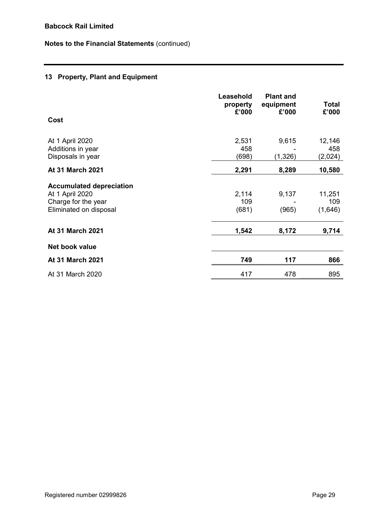# 13 Property, Plant and Equipment

|                                                                                                     | Leasehold<br>property<br>£'000 | <b>Plant and</b><br>equipment<br>£'000 | <b>Total</b><br>£'000    |
|-----------------------------------------------------------------------------------------------------|--------------------------------|----------------------------------------|--------------------------|
| Cost                                                                                                |                                |                                        |                          |
| At 1 April 2020<br>Additions in year<br>Disposals in year                                           | 2,531<br>458<br>(698)          | 9,615<br>(1,326)                       | 12,146<br>458<br>(2,024) |
| At 31 March 2021                                                                                    | 2,291                          | 8,289                                  | 10,580                   |
| <b>Accumulated depreciation</b><br>At 1 April 2020<br>Charge for the year<br>Eliminated on disposal | 2,114<br>109<br>(681)          | 9,137<br>(965)                         | 11,251<br>109<br>(1,646) |
| At 31 March 2021                                                                                    | 1,542                          | 8,172                                  | 9,714                    |
| Net book value                                                                                      |                                |                                        |                          |
| At 31 March 2021                                                                                    | 749                            | 117                                    | 866                      |
| At 31 March 2020                                                                                    | 417                            | 478                                    | 895                      |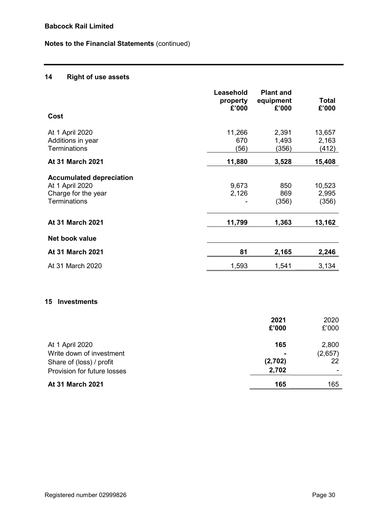# 14 Right of use assets

|                                                                                                  | Leasehold<br>property<br>£'000 | <b>Plant and</b><br>equipment<br>£'000 | <b>Total</b><br>£'000    |
|--------------------------------------------------------------------------------------------------|--------------------------------|----------------------------------------|--------------------------|
| Cost                                                                                             |                                |                                        |                          |
| At 1 April 2020<br>Additions in year<br><b>Terminations</b>                                      | 11,266<br>670<br>(56)          | 2,391<br>1,493<br>(356)                | 13,657<br>2,163<br>(412) |
| <b>At 31 March 2021</b>                                                                          | 11,880                         | 3,528                                  | 15,408                   |
| <b>Accumulated depreciation</b><br>At 1 April 2020<br>Charge for the year<br><b>Terminations</b> | 9,673<br>2,126                 | 850<br>869<br>(356)                    | 10,523<br>2,995<br>(356) |
| <b>At 31 March 2021</b>                                                                          | 11,799                         | 1,363                                  | 13,162                   |
| Net book value                                                                                   |                                |                                        |                          |
| <b>At 31 March 2021</b>                                                                          | 81                             | 2,165                                  | 2,246                    |
| At 31 March 2020                                                                                 | 1,593                          | 1,541                                  | 3,134                    |
| <b>Investments</b><br>15                                                                         |                                |                                        |                          |

|                             | 2021<br>£'000  | 2020<br>£'000 |
|-----------------------------|----------------|---------------|
| At 1 April 2020             | 165            | 2,800         |
| Write down of investment    | $\blacksquare$ | (2,657)       |
| Share of (loss) / profit    | (2,702)        | 22            |
| Provision for future losses | 2,702          |               |
| <b>At 31 March 2021</b>     | 165            | 165           |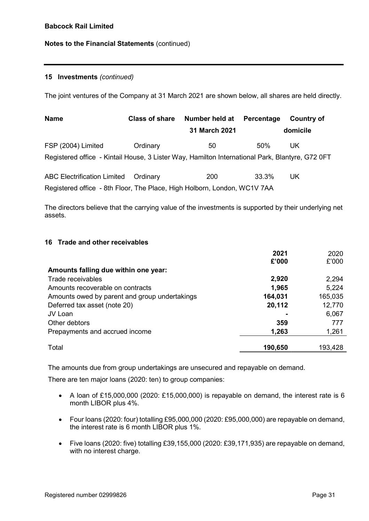# 15 Investments (continued)

The joint ventures of the Company at 31 March 2021 are shown below, all shares are held directly.

| <b>Name</b>                                                                                     | <b>Class of share</b> | Number held at | Percentage | <b>Country of</b> |  |
|-------------------------------------------------------------------------------------------------|-----------------------|----------------|------------|-------------------|--|
|                                                                                                 |                       | 31 March 2021  |            | domicile          |  |
| FSP (2004) Limited                                                                              | Ordinary              | 50             | 50%        | UK.               |  |
| Registered office - Kintail House, 3 Lister Way, Hamilton International Park, Blantyre, G72 0FT |                       |                |            |                   |  |
| <b>ABC Electrification Limited</b>                                                              | Ordinary              | <b>200</b>     | 33.3%      | UK.               |  |
| Registered office - 8th Floor, The Place, High Holborn, London, WC1V 7AA                        |                       |                |            |                   |  |

The directors believe that the carrying value of the investments is supported by their underlying net assets.

### 16 Trade and other receivables

|                                               | 2021    | 2020    |
|-----------------------------------------------|---------|---------|
|                                               | £'000   | £'000   |
| Amounts falling due within one year:          |         |         |
| Trade receivables                             | 2,920   | 2,294   |
| Amounts recoverable on contracts              | 1,965   | 5,224   |
| Amounts owed by parent and group undertakings | 164,031 | 165,035 |
| Deferred tax asset (note 20)                  | 20,112  | 12,770  |
| JV Loan                                       |         | 6,067   |
| Other debtors                                 | 359     | 777     |
| Prepayments and accrued income                | 1,263   | 1,261   |
|                                               |         |         |
| Total                                         | 190,650 | 193,428 |

The amounts due from group undertakings are unsecured and repayable on demand.

There are ten major loans (2020: ten) to group companies:

- A loan of £15,000,000 (2020: £15,000,000) is repayable on demand, the interest rate is 6 month LIBOR plus 4%.
- Four loans (2020: four) totalling £95,000,000 (2020: £95,000,000) are repayable on demand, the interest rate is 6 month LIBOR plus 1%.
- Five loans (2020: five) totalling £39,155,000 (2020: £39,171,935) are repayable on demand, with no interest charge.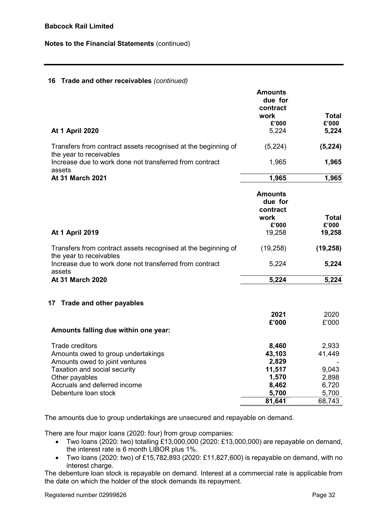# 16 Trade and other receivables (continued)

| <b>At 1 April 2020</b>                                                                       | Amounts<br>due for<br>contract<br>work<br>£'000<br>5,224 | <b>Total</b><br>£'000<br>5,224 |
|----------------------------------------------------------------------------------------------|----------------------------------------------------------|--------------------------------|
| Transfers from contract assets recognised at the beginning of                                | (5,224)                                                  | (5, 224)                       |
| the year to receivables<br>Increase due to work done not transferred from contract<br>assets | 1,965                                                    | 1,965                          |
| At 31 March 2021                                                                             | 1,965                                                    | 1,965                          |
|                                                                                              | <b>Amounts</b><br>due for<br>contract<br>work<br>£'000   | Total<br>£'000                 |
| <b>At 1 April 2019</b>                                                                       | 19,258                                                   | 19,258                         |
| Transfers from contract assets recognised at the beginning of<br>the year to receivables     | (19, 258)                                                | (19, 258)                      |
| Increase due to work done not transferred from contract<br>assets                            | 5,224                                                    | 5,224                          |
| At 31 March 2020                                                                             | 5,224                                                    | 5,224                          |
| 17 Trade and other payables                                                                  |                                                          |                                |
|                                                                                              | 2021<br>£'000                                            | 2020<br>£'000                  |
| Amounts falling due within one year:                                                         |                                                          |                                |
| <b>Trade creditors</b><br>Amounts owed to group undertakings                                 | 8,460<br>43,103                                          | 2,933<br>41,449                |
| Amounts owed to joint ventures<br>Taxation and social security<br>Other payables             | 2,829<br>11,517<br>1,570                                 | 9,043<br>2,898                 |
| Accruals and deferred income<br>Debenture loan stock                                         | 8,462<br>5,700                                           | 6,720<br>5,700                 |
|                                                                                              | 81,641                                                   | 68,743                         |

The amounts due to group undertakings are unsecured and repayable on demand.

There are four major loans (2020: four) from group companies:

- Two loans (2020: two) totalling £13,000,000 (2020: £13,000,000) are repayable on demand, the interest rate is 6 month LIBOR plus 1%.
- Two loans (2020: two) of £15,782,893 (2020: £11,827,600) is repayable on demand, with no interest charge.

The debenture loan stock is repayable on demand. Interest at a commercial rate is applicable from the date on which the holder of the stock demands its repayment.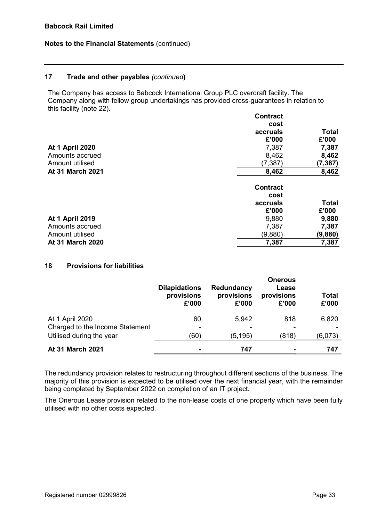### 17 Trade and other payables (continued)

The Company has access to Babcock International Group PLC overdraft facility. The Company along with fellow group undertakings has provided cross-guarantees in relation to this facility (note 22).

| <b>Contract</b> |              |
|-----------------|--------------|
| cost            |              |
| accruals        | Total        |
| £'000           | £'000        |
| 7,387           | 7,387        |
| 8,462           | 8,462        |
| (7, 387)        | (7, 387)     |
| 8,462           | 8,462        |
| <b>Contract</b> |              |
| cost            |              |
| accruals        | <b>Total</b> |
| £'000           | £'000        |
| 9,880           | 9,880        |
| 7,387           | 7,387        |
| (9,880)         | (9,880)      |
| 7,387           | 7,387        |
|                 |              |

#### 18 Provisions for liabilities

|                                 | <b>Dilapidations</b><br>provisions<br>£'000 | Redundancy<br>provisions<br>£'000 | <b>Onerous</b><br>Lease<br>provisions<br>£'000 | <b>Total</b><br>£'000 |
|---------------------------------|---------------------------------------------|-----------------------------------|------------------------------------------------|-----------------------|
| At 1 April 2020                 | 60                                          | 5,942                             | 818                                            | 6,820                 |
| Charged to the Income Statement |                                             |                                   |                                                |                       |
| Utilised during the year        | (60                                         | (5,195)                           | (818)                                          | (6,073)               |
| <b>At 31 March 2021</b>         |                                             | 747                               |                                                | 747                   |

The redundancy provision relates to restructuring throughout different sections of the business. The majority of this provision is expected to be utilised over the next financial year, with the remainder being completed by September 2022 on completion of an IT project.

The Onerous Lease provision related to the non-lease costs of one property which have been fully utilised with no other costs expected.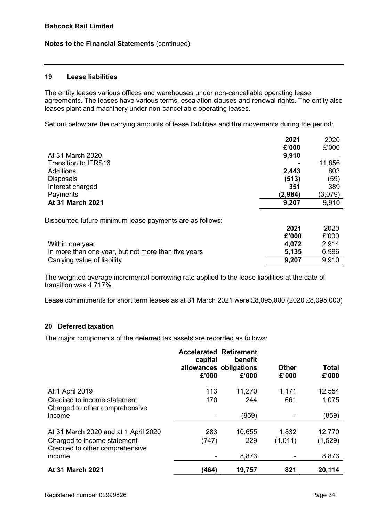# 19 Lease liabilities

The entity leases various offices and warehouses under non-cancellable operating lease agreements. The leases have various terms, escalation clauses and renewal rights. The entity also leases plant and machinery under non-cancellable operating leases.

Set out below are the carrying amounts of lease liabilities and the movements during the period:

|                                                          | 2021    | 2020    |
|----------------------------------------------------------|---------|---------|
|                                                          | £'000   | £'000   |
| At 31 March 2020                                         | 9,910   |         |
| Transition to IFRS16                                     |         | 11,856  |
| <b>Additions</b>                                         | 2,443   | 803     |
| <b>Disposals</b>                                         | (513)   | (59)    |
| Interest charged                                         | 351     | 389     |
| Payments                                                 | (2,984) | (3,079) |
| At 31 March 2021                                         | 9,207   | 9,910   |
|                                                          |         |         |
| Discounted future minimum lease payments are as follows: |         |         |
|                                                          | 2021    | 2020    |
|                                                          | £'000   | £'000   |
| Within one year                                          | 4,072   | 2,914   |
| In more than one year, but not more than five years      | 5,135   | 6,996   |
| Carrying value of liability                              | 9,207   | 9,910   |

The weighted average incremental borrowing rate applied to the lease liabilities at the date of transition was 4.717%.

Lease commitments for short term leases as at 31 March 2021 were £8,095,000 (2020 £8,095,000)

# 20 Deferred taxation

The major components of the deferred tax assets are recorded as follows:

|                                                                | <b>Accelerated Retirement</b><br>capital<br>£'000 | benefit<br>allowances obligations<br>£'000 | <b>Other</b><br>£'000 | Total<br>£'000 |
|----------------------------------------------------------------|---------------------------------------------------|--------------------------------------------|-----------------------|----------------|
| At 1 April 2019                                                | 113                                               | 11,270                                     | 1,171                 | 12,554         |
| Credited to income statement<br>Charged to other comprehensive | 170                                               | 244                                        | 661                   | 1,075          |
| income                                                         |                                                   | (859)                                      |                       | (859)          |
| At 31 March 2020 and at 1 April 2020                           | 283                                               | 10,655                                     | 1,832                 | 12,770         |
| Charged to income statement<br>Credited to other comprehensive | (747)                                             | 229                                        | (1,011)               | (1,529)        |
| income                                                         |                                                   | 8,873                                      |                       | 8,873          |
| <b>At 31 March 2021</b>                                        | (464)                                             | 19,757                                     | 821                   | 20,114         |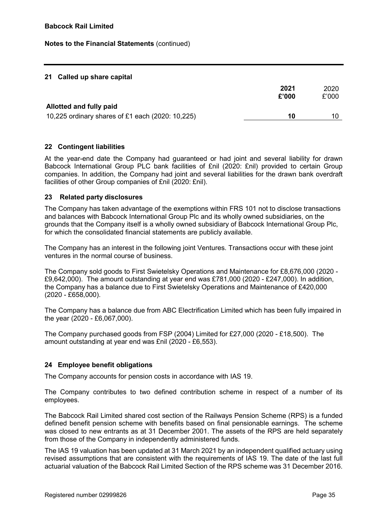# 21 Called up share capital

|                                                  | 2021<br>£'000 | 2020<br>£'000 |
|--------------------------------------------------|---------------|---------------|
| Allotted and fully paid                          |               |               |
| 10,225 ordinary shares of £1 each (2020: 10,225) | 10            | 10.           |

# 22 Contingent liabilities

At the year-end date the Company had guaranteed or had joint and several liability for drawn Babcock International Group PLC bank facilities of £nil (2020: £nil) provided to certain Group companies. In addition, the Company had joint and several liabilities for the drawn bank overdraft facilities of other Group companies of £nil (2020: £nil).

#### 23 Related party disclosures

The Company has taken advantage of the exemptions within FRS 101 not to disclose transactions and balances with Babcock International Group Plc and its wholly owned subsidiaries, on the grounds that the Company itself is a wholly owned subsidiary of Babcock International Group Plc, for which the consolidated financial statements are publicly available.

The Company has an interest in the following joint Ventures. Transactions occur with these joint ventures in the normal course of business.

The Company sold goods to First Swietelsky Operations and Maintenance for £8,676,000 (2020 - £9,642,000). The amount outstanding at year end was £781,000 (2020 - £247,000). In addition, the Company has a balance due to First Swietelsky Operations and Maintenance of £420,000 (2020 - £658,000).

The Company has a balance due from ABC Electrification Limited which has been fully impaired in the year (2020 - £6,067,000).

The Company purchased goods from FSP (2004) Limited for £27,000 (2020 - £18,500). The amount outstanding at year end was £nil (2020 - £6,553).

# 24 Employee benefit obligations

The Company accounts for pension costs in accordance with IAS 19.

The Company contributes to two defined contribution scheme in respect of a number of its employees.

The Babcock Rail Limited shared cost section of the Railways Pension Scheme (RPS) is a funded defined benefit pension scheme with benefits based on final pensionable earnings. The scheme was closed to new entrants as at 31 December 2001. The assets of the RPS are held separately from those of the Company in independently administered funds.

The IAS 19 valuation has been updated at 31 March 2021 by an independent qualified actuary using revised assumptions that are consistent with the requirements of IAS 19. The date of the last full actuarial valuation of the Babcock Rail Limited Section of the RPS scheme was 31 December 2016.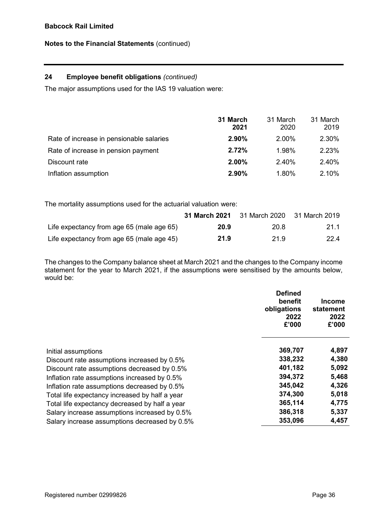# 24 Employee benefit obligations (continued)

The major assumptions used for the IAS 19 valuation were:

|                                          | 31 March<br>2021 | 31 March<br>2020 | 31 March<br>2019 |
|------------------------------------------|------------------|------------------|------------------|
| Rate of increase in pensionable salaries | 2.90%            | 2.00%            | 2.30%            |
| Rate of increase in pension payment      | 2.72%            | 1.98%            | 2.23%            |
| Discount rate                            | 2.00%            | 2.40%            | 2.40%            |
| Inflation assumption                     | 2.90%            | 1.80%            | 2.10%            |

The mortality assumptions used for the actuarial valuation were:

|                                           | <b>31 March 2021</b> | 31 March 2020 | 31 March 2019 |
|-------------------------------------------|----------------------|---------------|---------------|
| Life expectancy from age 65 (male age 65) | 20.9                 | 20.8          | 21.1          |
| Life expectancy from age 65 (male age 45) | 21.9                 | 21.9          | 22.4          |

The changes to the Company balance sheet at March 2021 and the changes to the Company income statement for the year to March 2021, if the assumptions were sensitised by the amounts below, would be:

|                                                | <b>Defined</b><br>benefit<br>obligations<br>2022<br>£'000 | Income<br>statement<br>2022<br>£'000 |
|------------------------------------------------|-----------------------------------------------------------|--------------------------------------|
| Initial assumptions                            | 369,707                                                   | 4,897                                |
| Discount rate assumptions increased by 0.5%    | 338,232                                                   | 4,380                                |
| Discount rate assumptions decreased by 0.5%    | 401,182                                                   | 5,092                                |
| Inflation rate assumptions increased by 0.5%   | 394,372                                                   | 5,468                                |
| Inflation rate assumptions decreased by 0.5%   | 345,042                                                   | 4,326                                |
| Total life expectancy increased by half a year | 374,300                                                   | 5,018                                |
| Total life expectancy decreased by half a year | 365,114                                                   | 4,775                                |
| Salary increase assumptions increased by 0.5%  | 386,318                                                   | 5,337                                |
| Salary increase assumptions decreased by 0.5%  | 353,096                                                   | 4,457                                |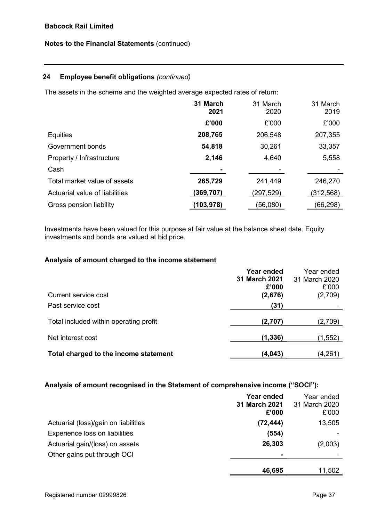# 24 Employee benefit obligations (continued)

The assets in the scheme and the weighted average expected rates of return:

|                                | 31 March<br>2021 | 31 March<br>2020 | 31 March<br>2019 |
|--------------------------------|------------------|------------------|------------------|
|                                | £'000            | £'000            | £'000            |
| Equities                       | 208,765          | 206,548          | 207,355          |
| Government bonds               | 54,818           | 30,261           | 33,357           |
| Property / Infrastructure      | 2,146            | 4,640            | 5,558            |
| Cash                           |                  |                  |                  |
| Total market value of assets   | 265,729          | 241,449          | 246,270          |
| Actuarial value of liabilities | (369, 707)       | (297, 529)       | (312, 568)       |
| Gross pension liability        | (103,978)        | (56,080)         | (66,298)         |

Investments have been valued for this purpose at fair value at the balance sheet date. Equity investments and bonds are valued at bid price.

#### Analysis of amount charged to the income statement

|                                        | Year ended             | Year ended             |
|----------------------------------------|------------------------|------------------------|
|                                        | 31 March 2021<br>£'000 | 31 March 2020<br>£'000 |
| Current service cost                   | (2,676)                | (2,709)                |
| Past service cost                      | (31)                   |                        |
| Total included within operating profit | (2,707)                | (2,709)                |
| Net interest cost                      | (1, 336)               | (1, 552)               |
| Total charged to the income statement  | (4,043)                | (4,261)                |

# Analysis of amount recognised in the Statement of comprehensive income ("SOCI"):

|                                      | Year ended<br>31 March 2021<br>£'000 | Year ended<br>31 March 2020<br>£'000 |
|--------------------------------------|--------------------------------------|--------------------------------------|
| Actuarial (loss)/gain on liabilities | (72, 444)                            | 13,505                               |
| Experience loss on liabilities       | (554)                                |                                      |
| Actuarial gain/(loss) on assets      | 26,303                               | (2,003)                              |
| Other gains put through OCI          |                                      |                                      |
|                                      | 46,695                               | 11,502                               |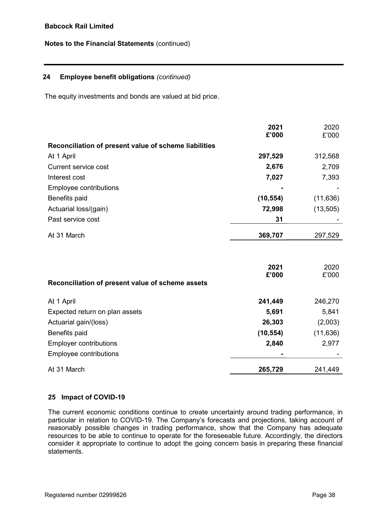# 24 Employee benefit obligations (continued)

The equity investments and bonds are valued at bid price.

|                                                       | 2021<br>£'000 | 2020<br>£'000 |
|-------------------------------------------------------|---------------|---------------|
| Reconciliation of present value of scheme liabilities |               |               |
| At 1 April                                            | 297,529       | 312,568       |
| <b>Current service cost</b>                           | 2,676         | 2,709         |
| Interest cost                                         | 7,027         | 7,393         |
| Employee contributions                                |               |               |
| Benefits paid                                         | (10, 554)     | (11, 636)     |
| Actuarial loss/(gain)                                 | 72,998        | (13, 505)     |
| Past service cost                                     | 31            |               |
| At 31 March                                           | 369,707       | 297,529       |
|                                                       |               |               |
|                                                       | 2021          | 2020          |
|                                                       | £'000         | £'000         |
| Reconciliation of present value of scheme assets      |               |               |
| At 1 April                                            | 241,449       | 246,270       |
| Expected return on plan assets                        | 5,691         | 5,841         |
| Actuarial gain/(loss)                                 | 26,303        | (2,003)       |
| Benefits paid                                         | (10, 554)     | (11, 636)     |
| <b>Employer contributions</b>                         | 2,840         | 2,977         |
| Employee contributions                                |               |               |

# 25 Impact of COVID-19

The current economic conditions continue to create uncertainty around trading performance, in particular in relation to COVID-19. The Company's forecasts and projections, taking account of reasonably possible changes in trading performance, show that the Company has adequate resources to be able to continue to operate for the foreseeable future. Accordingly, the directors consider it appropriate to continue to adopt the going concern basis in preparing these financial statements.

At 31 March 265,729 241,449